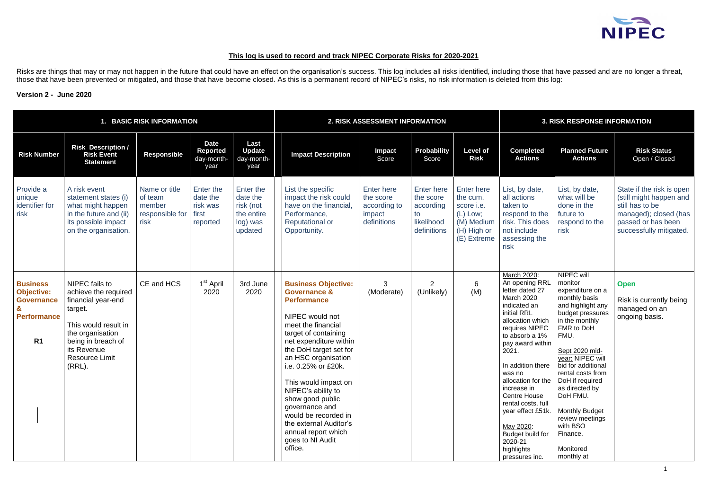# **This log is used to record and track NIPEC Corporate Risks for 2020-2021**

Risks are things that may or may not happen in the future that could have an effect on the organisation's success. This log includes all risks identified, including those that have passed and are no longer a threat, those that have been prevented or mitigated, and those that have become closed. As this is a permanent record of NIPEC's risks, no risk information is deleted from this log:

## **Version 2 - June 2020**

|                                                                                                   |                                                                                                                                                                                                | 1. BASIC RISK INFORMATION                                     |                                                               |                                                                         |                                                                                                                                                                                                                                                                                                                                                                                                                                            | 2. RISK ASSESSMENT INFORMATION                                          | <b>3. RISK RESPONSE INFORMATION</b>                                            |                                                                                                       |                                                                                                                                                                                                                                                                                                                                                                                                             |                                                                                                                                                                                                                                                                                                                                                           |                                                                                                                                                   |
|---------------------------------------------------------------------------------------------------|------------------------------------------------------------------------------------------------------------------------------------------------------------------------------------------------|---------------------------------------------------------------|---------------------------------------------------------------|-------------------------------------------------------------------------|--------------------------------------------------------------------------------------------------------------------------------------------------------------------------------------------------------------------------------------------------------------------------------------------------------------------------------------------------------------------------------------------------------------------------------------------|-------------------------------------------------------------------------|--------------------------------------------------------------------------------|-------------------------------------------------------------------------------------------------------|-------------------------------------------------------------------------------------------------------------------------------------------------------------------------------------------------------------------------------------------------------------------------------------------------------------------------------------------------------------------------------------------------------------|-----------------------------------------------------------------------------------------------------------------------------------------------------------------------------------------------------------------------------------------------------------------------------------------------------------------------------------------------------------|---------------------------------------------------------------------------------------------------------------------------------------------------|
| <b>Risk Number</b>                                                                                | <b>Risk Description /</b><br><b>Risk Event</b><br><b>Statement</b>                                                                                                                             | <b>Responsible</b>                                            | <b>Date</b><br><b>Reported</b><br>day-month-<br>year          | Last<br><b>Update</b><br>day-month-<br>year                             | <b>Impact Description</b>                                                                                                                                                                                                                                                                                                                                                                                                                  | <b>Impact</b><br>Score                                                  | <b>Probability</b><br>Score                                                    | <b>Level of</b><br><b>Risk</b>                                                                        | <b>Completed</b><br><b>Actions</b>                                                                                                                                                                                                                                                                                                                                                                          | <b>Planned Future</b><br><b>Actions</b>                                                                                                                                                                                                                                                                                                                   | <b>Risk Status</b><br>Open / Closed                                                                                                               |
| Provide a<br>unique<br>identifier for<br>risk                                                     | A risk event<br>statement states (i)<br>what might happen<br>in the future and (ii)<br>its possible impact<br>on the organisation.                                                             | Name or title<br>of team<br>member<br>responsible for<br>risk | <b>Enter the</b><br>date the<br>risk was<br>first<br>reported | Enter the<br>date the<br>risk (not<br>the entire<br>log) was<br>updated | List the specific<br>impact the risk could<br>have on the financial,<br>Performance,<br><b>Reputational or</b><br>Opportunity.                                                                                                                                                                                                                                                                                                             | <b>Enter here</b><br>the score<br>according to<br>impact<br>definitions | <b>Enter here</b><br>the score<br>according<br>to<br>likelihood<br>definitions | <b>Enter here</b><br>the cum.<br>score i.e.<br>$(L)$ Low;<br>(M) Medium<br>(H) High or<br>(E) Extreme | List, by date,<br>all actions<br>taken to<br>respond to the<br>risk. This does<br>not include<br>assessing the<br>risk                                                                                                                                                                                                                                                                                      | List, by date,<br>what will be<br>done in the<br>future to<br>respond to the<br>risk                                                                                                                                                                                                                                                                      | State if the risk is open<br>(still might happen and<br>still has to be<br>managed); closed (has<br>passed or has been<br>successfully mitigated. |
| <b>Business</b><br><b>Objective:</b><br><b>Governance</b><br><b>Performance</b><br>R <sub>1</sub> | NIPEC fails to<br>achieve the required<br>financial year-end<br>target.<br>This would result in<br>the organisation<br>being in breach of<br>its Revenue<br><b>Resource Limit</b><br>$(RRL)$ . | CE and HCS                                                    | 1 <sup>st</sup> April<br>2020                                 | 3rd June<br>2020                                                        | <b>Business Objective:</b><br><b>Governance &amp;</b><br><b>Performance</b><br>NIPEC would not<br>meet the financial<br>target of containing<br>net expenditure within<br>the DoH target set for<br>an HSC organisation<br>i.e. 0.25% or £20k.<br>This would impact on<br>NIPEC's ability to<br>show good public<br>governance and<br>would be recorded in<br>the external Auditor's<br>annual report which<br>goes to NI Audit<br>office. | 3<br>(Moderate)                                                         | $\overline{2}$<br>(Unlikely)                                                   | 6<br>(M)                                                                                              | March 2020:<br>An opening RRL<br>letter dated 27<br><b>March 2020</b><br>indicated an<br>initial RRL<br>allocation which<br>requires NIPEC<br>to absorb a 1%<br>pay award within<br>2021.<br>In addition there<br>was no<br>allocation for the   DoH if required<br>increase in<br><b>Centre House</b><br>rental costs, full<br>year effect £51k.<br>May 2020:<br>Budget build for<br>2020-21<br>highlights | NIPEC will<br>monitor<br>expenditure on a<br>monthly basis<br>and highlight any<br>budget pressures<br>in the monthly<br>FMR to DoH<br>FMU.<br>Sept 2020 mid-<br>year: NIPEC will<br>bid for additional<br>rental costs from<br>as directed by<br>DoH FMU.<br><b>Monthly Budget</b><br>review meetings<br>with BSO<br>Finance.<br>Monitored<br>monthly at | <b>Open</b><br>Risk is currently being<br>managed on an<br>ongoing basis.                                                                         |

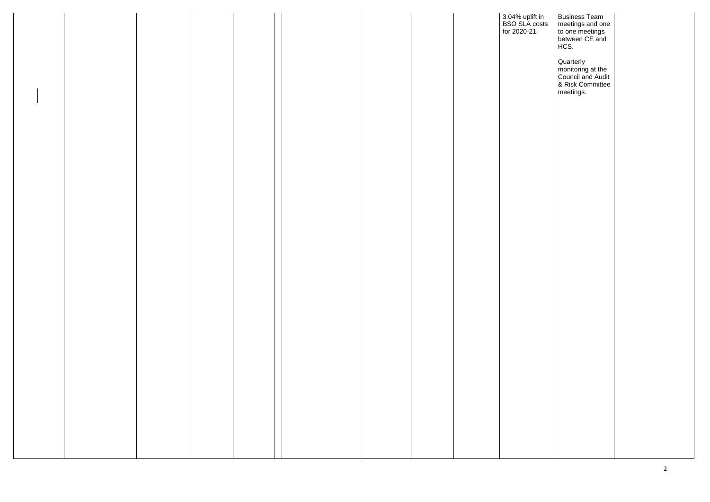|  |  |  |  | 3.04% uplift in<br>BSO SLA costs<br>for 2020-21. |
|--|--|--|--|--------------------------------------------------|
|  |  |  |  |                                                  |
|  |  |  |  |                                                  |
|  |  |  |  |                                                  |
|  |  |  |  |                                                  |
|  |  |  |  |                                                  |
|  |  |  |  |                                                  |
|  |  |  |  |                                                  |
|  |  |  |  |                                                  |
|  |  |  |  |                                                  |
|  |  |  |  |                                                  |
|  |  |  |  |                                                  |
|  |  |  |  |                                                  |
|  |  |  |  |                                                  |
|  |  |  |  |                                                  |
|  |  |  |  |                                                  |
|  |  |  |  |                                                  |
|  |  |  |  |                                                  |
|  |  |  |  |                                                  |

| t in<br>:osts<br>$\blacksquare$ | <b>Business Team</b><br>meetings and one<br>to one meetings<br>between CE and<br>HCS.       |  |
|---------------------------------|---------------------------------------------------------------------------------------------|--|
|                                 | Quarterly<br>monitoring at the<br><b>Council and Audit</b><br>& Risk Committee<br>meetings. |  |
|                                 |                                                                                             |  |
|                                 |                                                                                             |  |
|                                 |                                                                                             |  |
|                                 |                                                                                             |  |
|                                 |                                                                                             |  |
|                                 |                                                                                             |  |
|                                 |                                                                                             |  |
|                                 |                                                                                             |  |
|                                 |                                                                                             |  |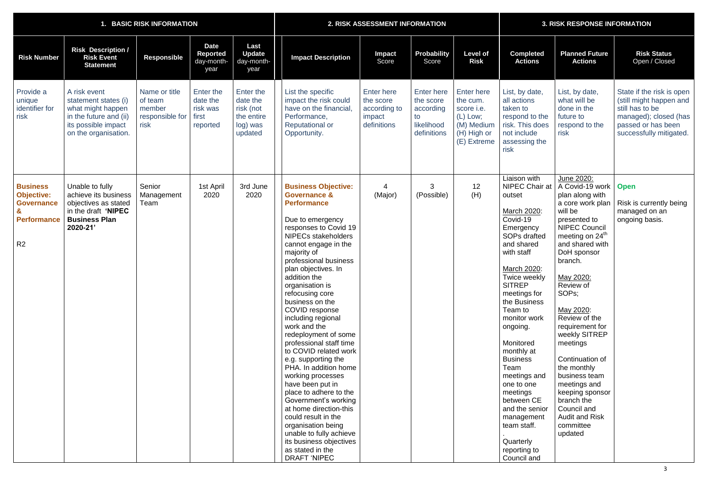|                                                                                                   |                                                                                                                                    | 1. BASIC RISK INFORMATION                                     |                                                        |                                                                         | 2. RISK ASSESSMENT INFORMATION                                                                                                                                                                                                                                                                                                                                                                                                                                                                                                                                                                                                                                                                                                                                                |                                                                         |                                                                                |                                                                                                       | <b>3. RISK RESPONSE INFORMATION</b>                                                                                                                                                                                                                                                                                                                                                                                                                          |                                                                                                                                                                                                                                                                                                                                                                                                                                                                                          |                                                                                                                                                   |  |
|---------------------------------------------------------------------------------------------------|------------------------------------------------------------------------------------------------------------------------------------|---------------------------------------------------------------|--------------------------------------------------------|-------------------------------------------------------------------------|-------------------------------------------------------------------------------------------------------------------------------------------------------------------------------------------------------------------------------------------------------------------------------------------------------------------------------------------------------------------------------------------------------------------------------------------------------------------------------------------------------------------------------------------------------------------------------------------------------------------------------------------------------------------------------------------------------------------------------------------------------------------------------|-------------------------------------------------------------------------|--------------------------------------------------------------------------------|-------------------------------------------------------------------------------------------------------|--------------------------------------------------------------------------------------------------------------------------------------------------------------------------------------------------------------------------------------------------------------------------------------------------------------------------------------------------------------------------------------------------------------------------------------------------------------|------------------------------------------------------------------------------------------------------------------------------------------------------------------------------------------------------------------------------------------------------------------------------------------------------------------------------------------------------------------------------------------------------------------------------------------------------------------------------------------|---------------------------------------------------------------------------------------------------------------------------------------------------|--|
| <b>Risk Number</b>                                                                                | <b>Risk Description /</b><br><b>Risk Event</b><br><b>Statement</b>                                                                 | <b>Responsible</b>                                            | <b>Date</b><br><b>Reported</b><br>day-month-<br>year   | Last<br><b>Update</b><br>day-month-<br>year                             | <b>Impact Description</b>                                                                                                                                                                                                                                                                                                                                                                                                                                                                                                                                                                                                                                                                                                                                                     | <b>Impact</b><br>Score                                                  | Probability<br>Score                                                           | <b>Level of</b><br><b>Risk</b>                                                                        | <b>Completed</b><br><b>Actions</b>                                                                                                                                                                                                                                                                                                                                                                                                                           | <b>Planned Future</b><br><b>Actions</b>                                                                                                                                                                                                                                                                                                                                                                                                                                                  | <b>Risk Status</b><br>Open / Closed                                                                                                               |  |
| Provide a<br>unique<br>identifier for<br>risk                                                     | A risk event<br>statement states (i)<br>what might happen<br>in the future and (ii)<br>its possible impact<br>on the organisation. | Name or title<br>of team<br>member<br>responsible for<br>risk | Enter the<br>date the<br>risk was<br>first<br>reported | Enter the<br>date the<br>risk (not<br>the entire<br>log) was<br>updated | List the specific<br>impact the risk could<br>have on the financial,<br>Performance,<br><b>Reputational or</b><br>Opportunity.                                                                                                                                                                                                                                                                                                                                                                                                                                                                                                                                                                                                                                                | <b>Enter here</b><br>the score<br>according to<br>impact<br>definitions | <b>Enter here</b><br>the score<br>according<br>to<br>likelihood<br>definitions | <b>Enter here</b><br>the cum.<br>score i.e.<br>$(L)$ Low;<br>(M) Medium<br>(H) High or<br>(E) Extreme | List, by date,<br>all actions<br>taken to<br>respond to the<br>risk. This does<br>not include<br>assessing the<br>risk                                                                                                                                                                                                                                                                                                                                       | List, by date,<br>what will be<br>done in the<br>future to<br>respond to the<br>risk                                                                                                                                                                                                                                                                                                                                                                                                     | State if the risk is open<br>(still might happen and<br>still has to be<br>managed); closed (has<br>passed or has been<br>successfully mitigated. |  |
| <b>Business</b><br><b>Objective:</b><br><b>Governance</b><br><b>Performance</b><br>R <sub>2</sub> | Unable to fully<br>achieve its business<br>objectives as stated<br>in the draft 'NIPEC<br><b>Business Plan</b><br>2020-21'         | Senior<br>Management<br>Team                                  | 1st April<br>2020                                      | 3rd June<br>2020                                                        | <b>Business Objective:</b><br><b>Governance &amp;</b><br><b>Performance</b><br>Due to emergency<br>responses to Covid 19<br><b>NIPECs stakeholders</b><br>cannot engage in the<br>majority of<br>professional business<br>plan objectives. In<br>addition the<br>organisation is<br>refocusing core<br>business on the<br>COVID response<br>including regional<br>work and the<br>redeployment of some<br>professional staff time<br>to COVID related work<br>e.g. supporting the<br>PHA. In addition home<br>working processes<br>have been put in<br>place to adhere to the<br>Government's working<br>at home direction-this<br>could result in the<br>organisation being<br>unable to fully achieve<br>its business objectives<br>as stated in the<br><b>DRAFT 'NIPEC</b> | (Major)                                                                 | 3<br>(Possible)                                                                | 12<br>(H)                                                                                             | Liaison with<br>NIPEC Chair at<br>outset<br>March 2020:<br>Covid-19<br>Emergency<br>SOPs drafted<br>and shared<br>with staff<br>March 2020:<br>Twice weekly<br><b>SITREP</b><br>meetings for<br>the Business<br>Team to<br>monitor work<br>ongoing.<br>Monitored<br>monthly at<br><b>Business</b><br>Team<br>meetings and<br>one to one<br>meetings<br>between CE<br>and the senior<br>management<br>team staff.<br>Quarterly<br>reporting to<br>Council and | June 2020:<br>A Covid-19 work<br>plan along with<br>a core work plan<br>will be<br>presented to<br><b>NIPEC Council</b><br>meeting on 24 <sup>th</sup><br>and shared with<br>DoH sponsor<br>branch.<br>May 2020:<br>Review of<br>SOPs;<br>May 2020:<br>Review of the<br>requirement for<br>weekly SITREP<br>meetings<br>Continuation of<br>the monthly<br>business team<br>meetings and<br>keeping sponsor<br>branch the<br>Council and<br><b>Audit and Risk</b><br>committee<br>updated | <b>Open</b><br>Risk is currently being<br>managed on an<br>ongoing basis.                                                                         |  |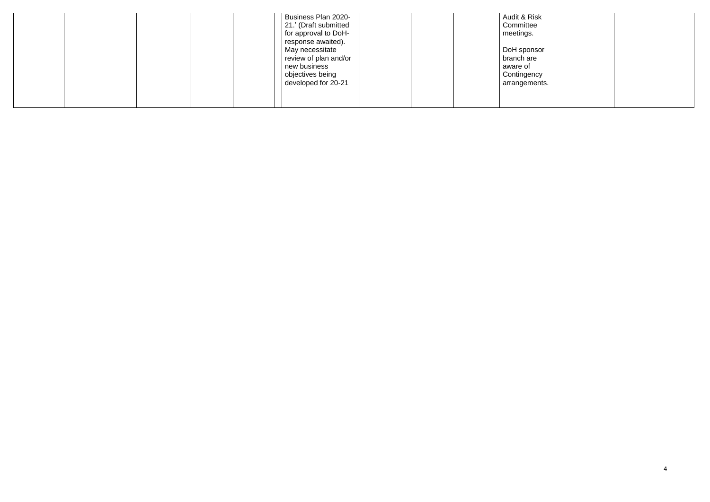| Business Plan 2020-<br>21.' (Draft submitted<br>for approval to DoH-<br>response awaited).          | Audit & Risk<br>Committee<br>meetings.                                |
|-----------------------------------------------------------------------------------------------------|-----------------------------------------------------------------------|
| May necessitate<br>review of plan and/or<br>new business<br>objectives being<br>developed for 20-21 | DoH sponsor<br>branch are<br>aware of<br>Contingency<br>arrangements. |
|                                                                                                     |                                                                       |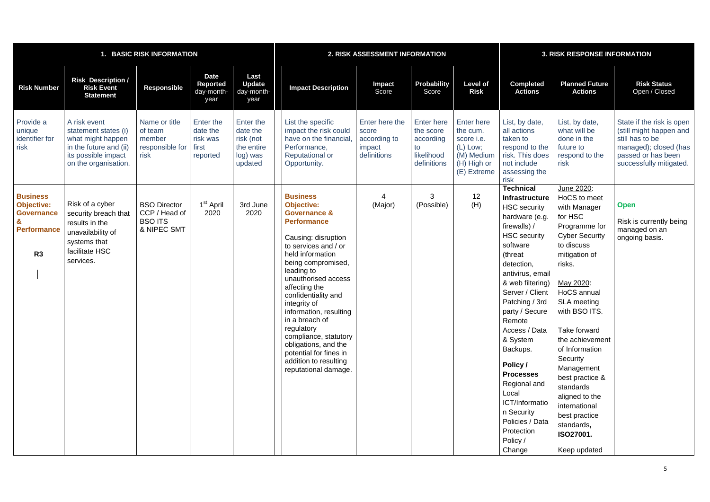| <b>BASIC RISK INFORMATION</b>                                                         |                                                                                                                                    |                                                                       |                                                        |                                                                         |                                                                                                                                                                                                                                                                                                                                                                                                                                                                   | 2. RISK ASSESSMENT INFORMATION                                   | <b>3. RISK RESPONSE INFORMATION</b>                                            |                                                                                              |                                                                                                                                                                                                                                                                                                                                                                                                                                                                  |                                                                                                                                                                                                                                                                                                                                                                                                                           |                                                                                                                                                   |
|---------------------------------------------------------------------------------------|------------------------------------------------------------------------------------------------------------------------------------|-----------------------------------------------------------------------|--------------------------------------------------------|-------------------------------------------------------------------------|-------------------------------------------------------------------------------------------------------------------------------------------------------------------------------------------------------------------------------------------------------------------------------------------------------------------------------------------------------------------------------------------------------------------------------------------------------------------|------------------------------------------------------------------|--------------------------------------------------------------------------------|----------------------------------------------------------------------------------------------|------------------------------------------------------------------------------------------------------------------------------------------------------------------------------------------------------------------------------------------------------------------------------------------------------------------------------------------------------------------------------------------------------------------------------------------------------------------|---------------------------------------------------------------------------------------------------------------------------------------------------------------------------------------------------------------------------------------------------------------------------------------------------------------------------------------------------------------------------------------------------------------------------|---------------------------------------------------------------------------------------------------------------------------------------------------|
| <b>Risk Number</b>                                                                    | <b>Risk Description /</b><br><b>Risk Event</b><br><b>Statement</b>                                                                 | <b>Responsible</b>                                                    | <b>Date</b><br><b>Reported</b><br>day-month-<br>year   | Last<br><b>Update</b><br>day-month-<br>year                             | <b>Impact Description</b>                                                                                                                                                                                                                                                                                                                                                                                                                                         | Impact<br>Score                                                  | <b>Probability</b><br>Score                                                    | <b>Level of</b><br><b>Risk</b>                                                               | <b>Completed</b><br><b>Actions</b>                                                                                                                                                                                                                                                                                                                                                                                                                               | <b>Planned Future</b><br><b>Actions</b>                                                                                                                                                                                                                                                                                                                                                                                   | <b>Risk Status</b><br>Open / Closed                                                                                                               |
| Provide a<br>unique<br>identifier for<br>risk                                         | A risk event<br>statement states (i)<br>what might happen<br>in the future and (ii)<br>its possible impact<br>on the organisation. | Name or title<br>of team<br>member<br>responsible for<br>risk         | Enter the<br>date the<br>risk was<br>first<br>reported | Enter the<br>date the<br>risk (not<br>the entire<br>log) was<br>updated | List the specific<br>impact the risk could<br>have on the financial<br>Performance,<br><b>Reputational or</b><br>Opportunity.                                                                                                                                                                                                                                                                                                                                     | Enter here the<br>score<br>according to<br>impact<br>definitions | <b>Enter here</b><br>the score<br>according<br>to<br>likelihood<br>definitions | Enter here<br>the cum.<br>score i.e.<br>(L) Low;<br>(M) Medium<br>(H) High or<br>(E) Extreme | List, by date,<br>all actions<br>taken to<br>respond to the<br>risk. This does<br>not include<br>assessing the<br>risk                                                                                                                                                                                                                                                                                                                                           | List, by date,<br>what will be<br>done in the<br>future to<br>respond to the<br>risk                                                                                                                                                                                                                                                                                                                                      | State if the risk is open<br>(still might happen and<br>still has to be<br>managed); closed (has<br>passed or has been<br>successfully mitigated. |
| <b>Business</b><br><b>Objective:</b><br><b>Governance</b><br><b>Performance</b><br>R3 | Risk of a cyber<br>security breach that<br>results in the<br>unavailability of<br>systems that<br>facilitate HSC<br>services.      | <b>BSO Director</b><br>CCP / Head of<br><b>BSO ITS</b><br>& NIPEC SMT | 1 <sup>st</sup> April<br>2020                          | 3rd June<br>2020                                                        | <b>Business</b><br><b>Objective:</b><br><b>Governance &amp;</b><br><b>Performance</b><br>Causing: disruption<br>to services and / or<br>held information<br>being compromised,<br>leading to<br>unauthorised access<br>affecting the<br>confidentiality and<br>integrity of<br>information, resulting<br>in a breach of<br>regulatory<br>compliance, statutory<br>obligations, and the<br>potential for fines in<br>addition to resulting<br>reputational damage. | (Major)                                                          | 3<br>(Possible)                                                                | 12<br>(H)                                                                                    | <b>Technical</b><br><b>Infrastructure</b><br><b>HSC</b> security<br>hardware (e.g.<br>firewalls) /<br><b>HSC</b> security<br>software<br>(threat<br>detection,<br>antivirus, email<br>& web filtering)<br>Server / Client<br>Patching / 3rd<br>party / Secure<br>Remote<br>Access / Data<br>& System<br>Backups.<br>Policy /<br><b>Processes</b><br>Regional and<br>Local<br>ICT/Informatio<br>n Security<br>Policies / Data<br>Protection<br>Policy /<br>Change | June 2020:<br>HoCS to meet<br>with Manager<br>for HSC<br>Programme for<br><b>Cyber Security</b><br>to discuss<br>mitigation of<br>risks.<br>May 2020:<br>HoCS annual<br><b>SLA</b> meeting<br>with BSO ITS.<br>Take forward<br>the achievement<br>of Information<br>Security<br>Management<br>best practice &<br>standards<br>aligned to the<br>international<br>best practice<br>standards,<br>ISO27001.<br>Keep updated | <b>Open</b><br>Risk is currently being<br>managed on an<br>ongoing basis.                                                                         |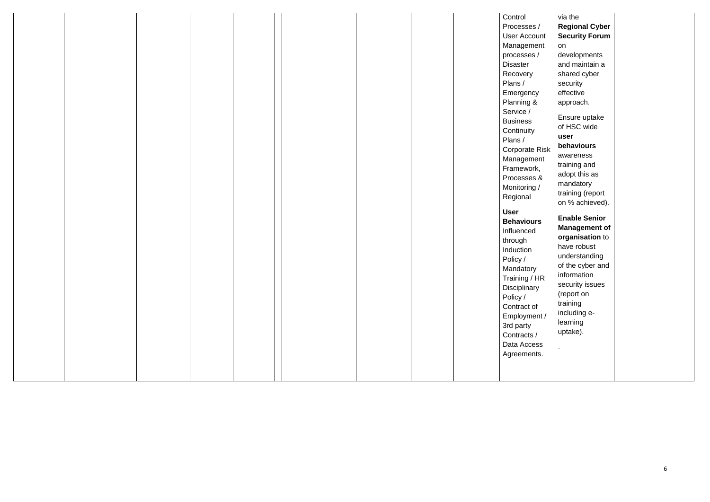| Recovery<br>Plans /<br>Emergency<br>Planning &<br>Service /<br><b>Business</b><br>Continuity<br>Plans /<br><b>Corporate Risk</b><br>Management<br>Framework,<br>Processes &<br>Monitoring /<br>Regional<br><b>User</b><br><b>Behaviours</b><br>Influenced<br>through<br>Induction<br>Policy /<br>Mandatory<br>Training / HR<br>Disciplinary<br>Policy /<br>Contract of<br>Employment /<br>3rd party<br>Contracts /<br>Data Access<br>Agreements. |
|--------------------------------------------------------------------------------------------------------------------------------------------------------------------------------------------------------------------------------------------------------------------------------------------------------------------------------------------------------------------------------------------------------------------------------------------------|
|--------------------------------------------------------------------------------------------------------------------------------------------------------------------------------------------------------------------------------------------------------------------------------------------------------------------------------------------------------------------------------------------------------------------------------------------------|

| $\overline{1}$<br>unt<br>ent<br>$\prime$<br>ï           | via the<br><b>Regional Cyber</b><br><b>Security Forum</b><br>on<br>developments<br>and maintain a<br>shared cyber<br>security<br>effective<br>approach.                                                                 |
|---------------------------------------------------------|-------------------------------------------------------------------------------------------------------------------------------------------------------------------------------------------------------------------------|
| <b>Risk</b><br>ent<br>٢,<br><u>&amp;</u>                | Ensure uptake<br>of HSC wide<br>user<br>behaviours<br>awareness<br>training and<br>adopt this as<br>mandatory<br>training (report<br>on % achieved).                                                                    |
| rs<br>$\overline{R}$<br>y<br>f<br>nt/<br>ľ<br>SS<br>ts. | <b>Enable Senior</b><br><b>Management of</b><br>organisation to<br>have robust<br>understanding<br>of the cyber and<br>information<br>security issues<br>(report on<br>training<br>including e-<br>learning<br>uptake). |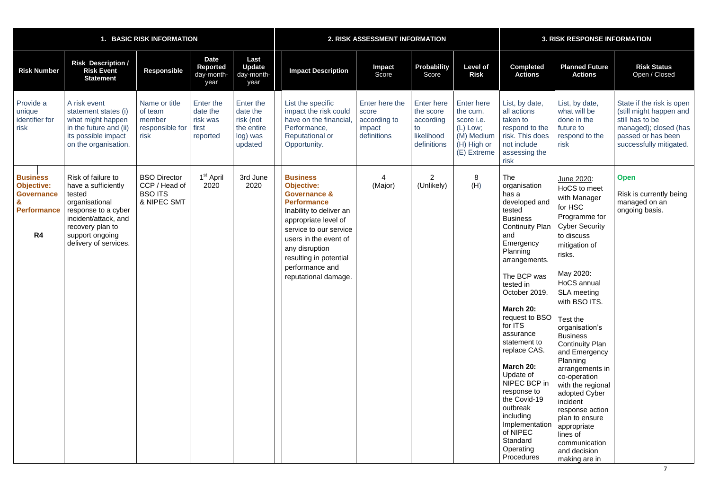|                                                                                       | 1. BASIC RISK INFORMATION                                                                                                                                                            |                                                                       |                                                        |                                                                         |                                                                                                                                                                                                                                                                                    | 2. RISK ASSESSMENT INFORMATION                                   |                                                                                |                                                                                                            |                                                                                                                                                                                                                                                                                                                                                                                                                                                                  | <b>3. RISK RESPONSE INFORMATION</b>                                                                                                                                                                                                                                                                                                                                                                                                                                                                                        |                                                                                                                                                   |  |  |
|---------------------------------------------------------------------------------------|--------------------------------------------------------------------------------------------------------------------------------------------------------------------------------------|-----------------------------------------------------------------------|--------------------------------------------------------|-------------------------------------------------------------------------|------------------------------------------------------------------------------------------------------------------------------------------------------------------------------------------------------------------------------------------------------------------------------------|------------------------------------------------------------------|--------------------------------------------------------------------------------|------------------------------------------------------------------------------------------------------------|------------------------------------------------------------------------------------------------------------------------------------------------------------------------------------------------------------------------------------------------------------------------------------------------------------------------------------------------------------------------------------------------------------------------------------------------------------------|----------------------------------------------------------------------------------------------------------------------------------------------------------------------------------------------------------------------------------------------------------------------------------------------------------------------------------------------------------------------------------------------------------------------------------------------------------------------------------------------------------------------------|---------------------------------------------------------------------------------------------------------------------------------------------------|--|--|
| <b>Risk Number</b>                                                                    | <b>Risk Description /</b><br><b>Risk Event</b><br><b>Statement</b>                                                                                                                   | Responsible                                                           | <b>Date</b><br><b>Reported</b><br>day-month-<br>year   | Last<br><b>Update</b><br>day-month-<br>year                             | <b>Impact Description</b>                                                                                                                                                                                                                                                          | <b>Impact</b><br>Score                                           | <b>Probability</b><br>Score                                                    | <b>Level of</b><br><b>Risk</b>                                                                             | <b>Completed</b><br><b>Actions</b>                                                                                                                                                                                                                                                                                                                                                                                                                               | <b>Planned Future</b><br><b>Actions</b>                                                                                                                                                                                                                                                                                                                                                                                                                                                                                    | <b>Risk Status</b><br>Open / Closed                                                                                                               |  |  |
| Provide a<br>unique<br>identifier for<br>risk                                         | A risk event<br>statement states (i)<br>what might happen<br>in the future and (ii)<br>its possible impact<br>on the organisation.                                                   | Name or title<br>of team<br>member<br>responsible for<br>risk         | Enter the<br>date the<br>risk was<br>first<br>reported | Enter the<br>date the<br>risk (not<br>the entire<br>log) was<br>updated | List the specific<br>impact the risk could<br>have on the financial<br>Performance,<br><b>Reputational or</b><br>Opportunity.                                                                                                                                                      | Enter here the<br>score<br>according to<br>impact<br>definitions | <b>Enter here</b><br>the score<br>according<br>to<br>likelihood<br>definitions | <b>Enter here</b><br>the cum.<br>score <i>i.e.</i><br>(L) Low;<br>(M) Medium<br>(H) High or<br>(E) Extreme | List, by date,<br>all actions<br>taken to<br>respond to the<br>risk. This does<br>not include<br>assessing the<br>risk                                                                                                                                                                                                                                                                                                                                           | List, by date,<br>what will be<br>done in the<br>future to<br>respond to the<br>risk                                                                                                                                                                                                                                                                                                                                                                                                                                       | State if the risk is open<br>(still might happen and<br>still has to be<br>managed); closed (has<br>passed or has been<br>successfully mitigated. |  |  |
| <b>Business</b><br><b>Objective:</b><br><b>Governance</b><br><b>Performance</b><br>R4 | Risk of failure to<br>have a sufficiently<br>tested<br>organisational<br>response to a cyber<br>incident/attack, and<br>recovery plan to<br>support ongoing<br>delivery of services. | <b>BSO Director</b><br>CCP / Head of<br><b>BSO ITS</b><br>& NIPEC SMT | 1 <sup>st</sup> April<br>2020                          | 3rd June<br>2020                                                        | <b>Business</b><br><b>Objective:</b><br><b>Governance &amp;</b><br><b>Performance</b><br>Inability to deliver an<br>appropriate level of<br>service to our service<br>users in the event of<br>any disruption<br>resulting in potential<br>performance and<br>reputational damage. | (Major)                                                          | 2<br>(Unlikely)                                                                | 8<br>(H)                                                                                                   | The<br>organisation<br>has a<br>developed and<br>tested<br><b>Business</b><br><b>Continuity Plan</b><br>and<br>Emergency<br>Planning<br>arrangements.<br>The BCP was<br>tested in<br>October 2019.<br>March 20:<br>request to BSO<br>for ITS<br>assurance<br>statement to<br>replace CAS.<br>March 20:<br>Update of<br>NIPEC BCP in<br>response to<br>the Covid-19<br>outbreak<br>including<br>Implementation<br>of NIPEC<br>Standard<br>Operating<br>Procedures | June 2020:<br>HoCS to meet<br>with Manager<br>for HSC<br>Programme for<br><b>Cyber Security</b><br>to discuss<br>mitigation of<br>risks.<br>May 2020:<br>HoCS annual<br><b>SLA</b> meeting<br>with BSO ITS.<br>Test the<br>organisation's<br><b>Business</b><br><b>Continuity Plan</b><br>and Emergency<br>Planning<br>arrangements in<br>co-operation<br>with the regional<br>adopted Cyber<br>incident<br>response action<br>plan to ensure<br>appropriate<br>lines of<br>communication<br>and decision<br>making are in | <b>Open</b><br>Risk is currently being<br>managed on an<br>ongoing basis.                                                                         |  |  |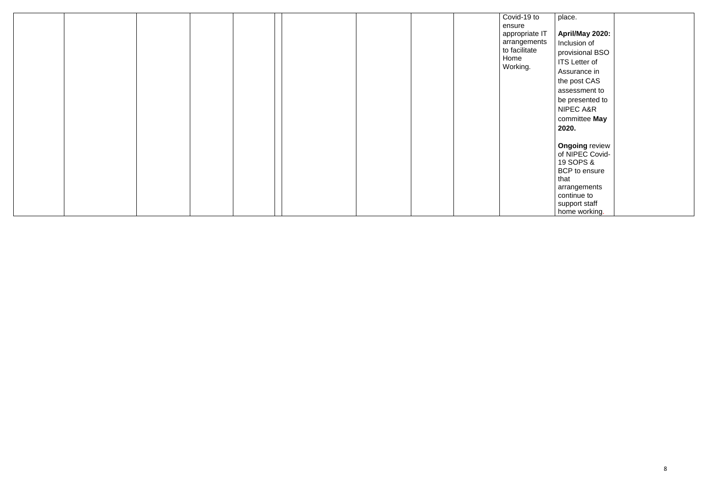|  |  |  | Covid-19 to    | place.                |
|--|--|--|----------------|-----------------------|
|  |  |  | ensure         |                       |
|  |  |  | appropriate IT | April/May 2020:       |
|  |  |  | arrangements   | Inclusion of          |
|  |  |  | to facilitate  | provisional BSO       |
|  |  |  | Home           | <b>ITS</b> Letter of  |
|  |  |  | Working.       | Assurance in          |
|  |  |  |                | the post CAS          |
|  |  |  |                | assessment to         |
|  |  |  |                | be presented to       |
|  |  |  |                | NIPEC A&R             |
|  |  |  |                | committee May         |
|  |  |  |                | 2020.                 |
|  |  |  |                |                       |
|  |  |  |                | <b>Ongoing review</b> |
|  |  |  |                | of NIPEC Covid-       |
|  |  |  |                | 19 SOPS &             |
|  |  |  |                | BCP to ensure         |
|  |  |  |                | that                  |
|  |  |  |                | arrangements          |
|  |  |  |                | continue to           |
|  |  |  |                | support staff         |
|  |  |  |                | home working.         |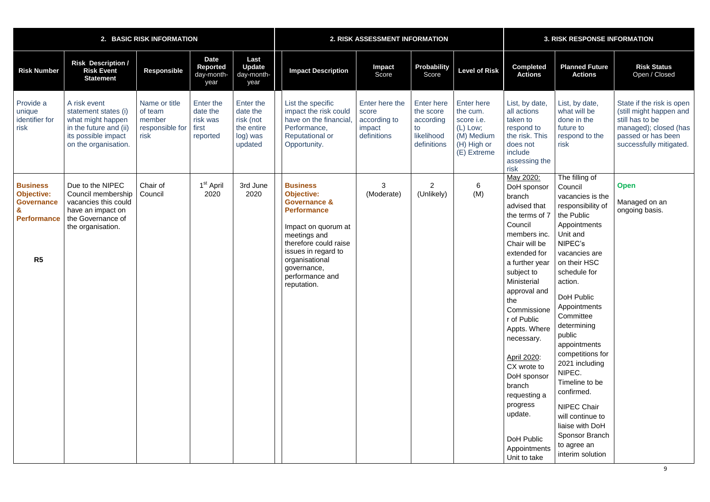|                                                                                                   |                                                                                                                                    | 2. BASIC RISK INFORMATION                                     |                                                        |                                                                         |                                                                                                                                                                                                                                                 | 2. RISK ASSESSMENT INFORMATION                                   |                                                                                | <b>3. RISK RESPONSE INFORMATION</b>                                                                   |                                                                                                                                                                                                                                                                                                                                                                                                                |                                                                                                                                                                                                                                                                                                                                                                                                                                                                           |                                                                                                                                                   |
|---------------------------------------------------------------------------------------------------|------------------------------------------------------------------------------------------------------------------------------------|---------------------------------------------------------------|--------------------------------------------------------|-------------------------------------------------------------------------|-------------------------------------------------------------------------------------------------------------------------------------------------------------------------------------------------------------------------------------------------|------------------------------------------------------------------|--------------------------------------------------------------------------------|-------------------------------------------------------------------------------------------------------|----------------------------------------------------------------------------------------------------------------------------------------------------------------------------------------------------------------------------------------------------------------------------------------------------------------------------------------------------------------------------------------------------------------|---------------------------------------------------------------------------------------------------------------------------------------------------------------------------------------------------------------------------------------------------------------------------------------------------------------------------------------------------------------------------------------------------------------------------------------------------------------------------|---------------------------------------------------------------------------------------------------------------------------------------------------|
| <b>Risk Number</b>                                                                                | <b>Risk Description /</b><br><b>Risk Event</b><br><b>Statement</b>                                                                 | <b>Responsible</b>                                            | <b>Date</b><br><b>Reported</b><br>day-month-<br>year   | Last<br><b>Update</b><br>day-month-<br>year                             | <b>Impact Description</b>                                                                                                                                                                                                                       | Impact<br>Score                                                  | Probability<br>Score                                                           | <b>Level of Risk</b>                                                                                  | <b>Completed</b><br><b>Actions</b>                                                                                                                                                                                                                                                                                                                                                                             | <b>Planned Future</b><br><b>Actions</b>                                                                                                                                                                                                                                                                                                                                                                                                                                   | <b>Risk Status</b><br>Open / Closed                                                                                                               |
| Provide a<br>unique<br>identifier for<br>risk                                                     | A risk event<br>statement states (i)<br>what might happen<br>in the future and (ii)<br>its possible impact<br>on the organisation. | Name or title<br>of team<br>member<br>responsible for<br>risk | Enter the<br>date the<br>risk was<br>first<br>reported | Enter the<br>date the<br>risk (not<br>the entire<br>log) was<br>updated | List the specific<br>impact the risk could<br>have on the financial<br>Performance,<br><b>Reputational or</b><br>Opportunity.                                                                                                                   | Enter here the<br>score<br>according to<br>impact<br>definitions | <b>Enter here</b><br>the score<br>according<br>to<br>likelihood<br>definitions | <b>Enter here</b><br>the cum.<br>score i.e.<br>$(L)$ Low;<br>(M) Medium<br>(H) High or<br>(E) Extreme | List, by date,<br>all actions<br>taken to<br>respond to<br>the risk. This<br>does not<br>include<br>assessing the<br>risk                                                                                                                                                                                                                                                                                      | List, by date,<br>what will be<br>done in the<br>future to<br>respond to the<br>risk                                                                                                                                                                                                                                                                                                                                                                                      | State if the risk is open<br>(still might happen and<br>still has to be<br>managed); closed (has<br>passed or has been<br>successfully mitigated. |
| <b>Business</b><br><b>Objective:</b><br><b>Governance</b><br><b>Performance</b><br>R <sub>5</sub> | Due to the NIPEC<br>Council membership<br>vacancies this could<br>have an impact on<br>the Governance of<br>the organisation.      | Chair of<br>Council                                           | 1 <sup>st</sup> April<br>2020                          | 3rd June<br>2020                                                        | <b>Business</b><br><b>Objective:</b><br><b>Governance &amp;</b><br><b>Performance</b><br>Impact on quorum at<br>meetings and<br>therefore could raise<br>issues in regard to<br>organisational<br>governance,<br>performance and<br>reputation. | 3<br>(Moderate)                                                  | $\overline{2}$<br>(Unlikely)                                                   | 6<br>(M)                                                                                              | May 2020:<br>DoH sponsor<br>branch<br>advised that<br>the terms of 7<br>Council<br>members inc.<br>Chair will be<br>extended for<br>a further year<br>subject to<br>Ministerial<br>approval and<br>the<br>Commissione<br>r of Public<br>Appts. Where<br>necessary.<br>April 2020:<br>CX wrote to<br>DoH sponsor<br>branch<br>requesting a<br>progress<br>update.<br>DoH Public<br>Appointments<br>Unit to take | The filling of<br>Council<br>vacancies is the<br>responsibility of<br>the Public<br>Appointments<br>Unit and<br>NIPEC's<br>vacancies are<br>on their HSC<br>schedule for<br>action.<br>DoH Public<br>Appointments<br>Committee<br>determining<br>public<br>appointments<br>competitions for<br>2021 including<br>NIPEC.<br>Timeline to be<br>confirmed.<br><b>NIPEC Chair</b><br>will continue to<br>liaise with DoH<br>Sponsor Branch<br>to agree an<br>interim solution | <b>Open</b><br>Managed on an<br>ongoing basis.                                                                                                    |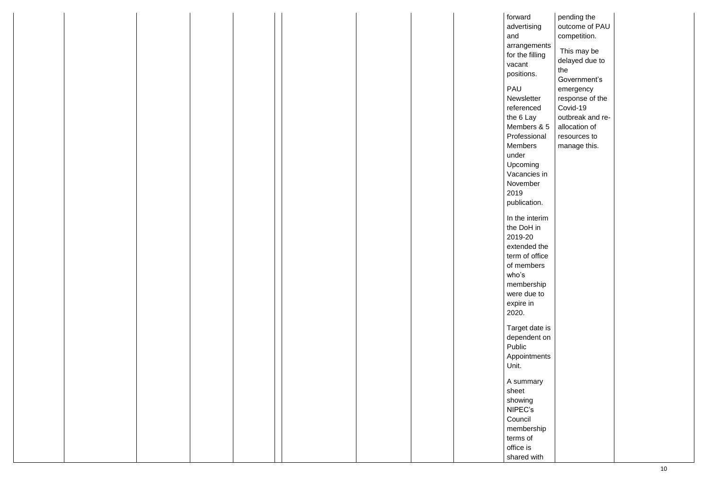|  |  |  |  | forward         | pending the      |  |
|--|--|--|--|-----------------|------------------|--|
|  |  |  |  | advertising     | outcome of PAU   |  |
|  |  |  |  | and             | competition.     |  |
|  |  |  |  | arrangements    |                  |  |
|  |  |  |  | for the filling | This may be      |  |
|  |  |  |  |                 | delayed due to   |  |
|  |  |  |  | vacant          | the              |  |
|  |  |  |  | positions.      |                  |  |
|  |  |  |  |                 | Government's     |  |
|  |  |  |  | PAU             | emergency        |  |
|  |  |  |  | Newsletter      | response of the  |  |
|  |  |  |  | referenced      | Covid-19         |  |
|  |  |  |  | the 6 Lay       | outbreak and re- |  |
|  |  |  |  | Members & 5     | allocation of    |  |
|  |  |  |  | Professional    | resources to     |  |
|  |  |  |  | Members         |                  |  |
|  |  |  |  |                 | manage this.     |  |
|  |  |  |  | under           |                  |  |
|  |  |  |  | Upcoming        |                  |  |
|  |  |  |  | Vacancies in    |                  |  |
|  |  |  |  | November        |                  |  |
|  |  |  |  | 2019            |                  |  |
|  |  |  |  | publication.    |                  |  |
|  |  |  |  |                 |                  |  |
|  |  |  |  | In the interim  |                  |  |
|  |  |  |  | the DoH in      |                  |  |
|  |  |  |  | 2019-20         |                  |  |
|  |  |  |  | extended the    |                  |  |
|  |  |  |  |                 |                  |  |
|  |  |  |  | term of office  |                  |  |
|  |  |  |  | of members      |                  |  |
|  |  |  |  | who's           |                  |  |
|  |  |  |  | membership      |                  |  |
|  |  |  |  | were due to     |                  |  |
|  |  |  |  | expire in       |                  |  |
|  |  |  |  | 2020.           |                  |  |
|  |  |  |  |                 |                  |  |
|  |  |  |  | Target date is  |                  |  |
|  |  |  |  | dependent on    |                  |  |
|  |  |  |  | Public          |                  |  |
|  |  |  |  | Appointments    |                  |  |
|  |  |  |  |                 |                  |  |
|  |  |  |  | Unit.           |                  |  |
|  |  |  |  | A summary       |                  |  |
|  |  |  |  |                 |                  |  |
|  |  |  |  | sheet           |                  |  |
|  |  |  |  | showing         |                  |  |
|  |  |  |  | NIPEC's         |                  |  |
|  |  |  |  | Council         |                  |  |
|  |  |  |  | membership      |                  |  |
|  |  |  |  | terms of        |                  |  |
|  |  |  |  | office is       |                  |  |
|  |  |  |  |                 |                  |  |
|  |  |  |  | shared with     |                  |  |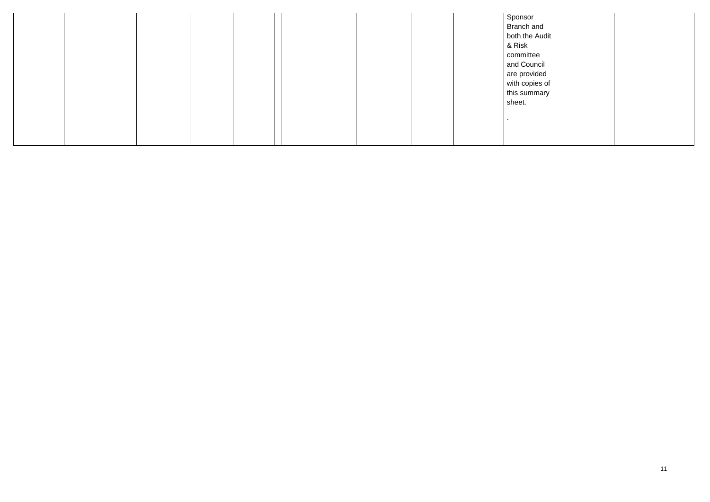|  |  |  |  |  | Sponsor<br>Branch and<br>both the Audit<br>& Risk<br>committee<br>and Council<br>are provided<br>with copies of<br>this summary<br>sheet. |  |
|--|--|--|--|--|-------------------------------------------------------------------------------------------------------------------------------------------|--|
|--|--|--|--|--|-------------------------------------------------------------------------------------------------------------------------------------------|--|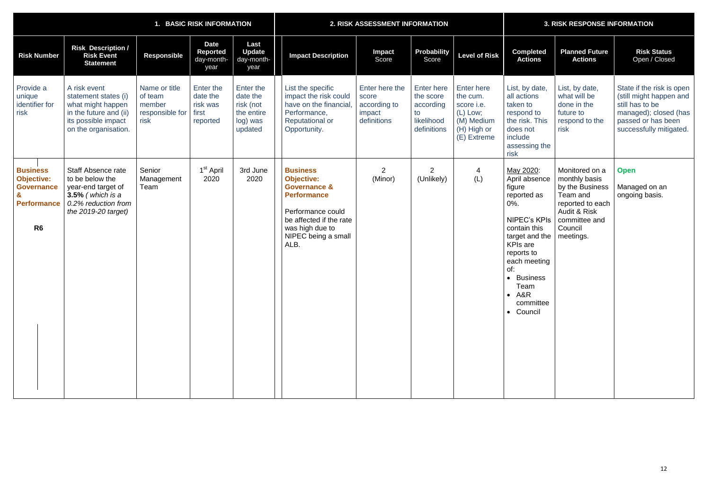| 1. BASIC RISK INFORMATION                                                                         |                                                                                                                                           |                                                               |                                                        | 2. RISK ASSESSMENT INFORMATION                                          |                                                                                                                                                                                         |                                                                  |                                                                                | <b>3. RISK RESPONSE INFORMATION</b>                                                                   |                                                                                                                                                                                                                                                          |                                                                                                                                             |                                                                                                                                                   |
|---------------------------------------------------------------------------------------------------|-------------------------------------------------------------------------------------------------------------------------------------------|---------------------------------------------------------------|--------------------------------------------------------|-------------------------------------------------------------------------|-----------------------------------------------------------------------------------------------------------------------------------------------------------------------------------------|------------------------------------------------------------------|--------------------------------------------------------------------------------|-------------------------------------------------------------------------------------------------------|----------------------------------------------------------------------------------------------------------------------------------------------------------------------------------------------------------------------------------------------------------|---------------------------------------------------------------------------------------------------------------------------------------------|---------------------------------------------------------------------------------------------------------------------------------------------------|
| <b>Risk Number</b>                                                                                | <b>Risk Description /</b><br><b>Risk Event</b><br><b>Statement</b>                                                                        | <b>Responsible</b>                                            | <b>Date</b><br>Reported<br>day-month-<br>year          | Last<br><b>Update</b><br>day-month-<br>year                             | <b>Impact Description</b>                                                                                                                                                               | <b>Impact</b><br>Score                                           | <b>Probability</b><br>Score                                                    | <b>Level of Risk</b>                                                                                  | <b>Completed</b><br><b>Actions</b>                                                                                                                                                                                                                       | <b>Planned Future</b><br><b>Actions</b>                                                                                                     | <b>Risk Status</b><br>Open / Closed                                                                                                               |
| Provide a<br>unique<br>identifier for<br>risk                                                     | A risk event<br>statement states (i)<br>what might happen<br>in the future and (ii)<br>its possible impact<br>on the organisation.        | Name or title<br>of team<br>member<br>responsible for<br>risk | Enter the<br>date the<br>risk was<br>first<br>reported | Enter the<br>date the<br>risk (not<br>the entire<br>log) was<br>updated | List the specific<br>impact the risk could<br>have on the financial<br>Performance,<br><b>Reputational or</b><br>Opportunity.                                                           | Enter here the<br>score<br>according to<br>impact<br>definitions | <b>Enter here</b><br>the score<br>according<br>to<br>likelihood<br>definitions | <b>Enter here</b><br>the cum.<br>score i.e.<br>$(L)$ Low;<br>(M) Medium<br>(H) High or<br>(E) Extreme | List, by date,<br>all actions<br>taken to<br>respond to<br>the risk. This<br>does not<br>include<br>assessing the<br>risk                                                                                                                                | List, by date,<br>what will be<br>done in the<br>future to<br>respond to the<br>risk                                                        | State if the risk is open<br>(still might happen and<br>still has to be<br>managed); closed (has<br>passed or has been<br>successfully mitigated. |
| <b>Business</b><br><b>Objective:</b><br><b>Governance</b><br><b>Performance</b><br>R <sub>6</sub> | <b>Staff Absence rate</b><br>to be below the<br>year-end target of<br>$3.5\%$ (which is a<br>0.2% reduction from<br>the $2019-20$ target) | Senior<br>Management<br>Team                                  | 1 <sup>st</sup> April<br>2020                          | 3rd June<br>2020                                                        | <b>Business</b><br><b>Objective:</b><br><b>Governance &amp;</b><br><b>Performance</b><br>Performance could<br>be affected if the rate<br>was high due to<br>NIPEC being a small<br>ALB. | $\overline{2}$<br>(Minor)                                        | $\overline{2}$<br>(Unlikely)                                                   | 4<br>(L)                                                                                              | May 2020:<br>April absence<br>figure<br>reported as<br>0%.<br><b>NIPEC's KPIs</b><br>contain this<br>target and the<br><b>KPIs</b> are<br>reports to<br>each meeting<br>of:<br><b>Business</b><br>$\bullet$<br>Team<br>$- A&R$<br>committee<br>• Council | Monitored on a<br>monthly basis<br>by the Business<br>Team and<br>reported to each<br>Audit & Risk<br>committee and<br>Council<br>meetings. | <b>Open</b><br>Managed on an<br>ongoing basis.                                                                                                    |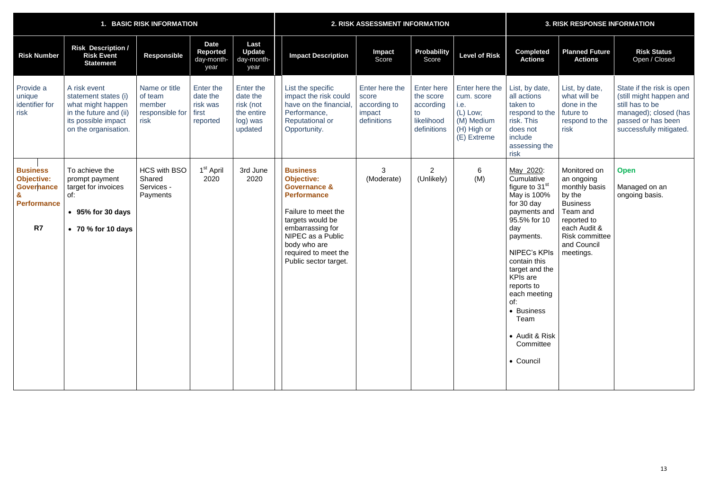| <b>BASIC RISK INFORMATION</b>                                                         |                                                                                                                                    |                                                               |                                                        |                                                                         | <b>2. RISK ASSESSMENT INFORMATION</b>                                                                                                                                                                                                      |                                                                  |                                                                                | <b>3. RISK RESPONSE INFORMATION</b>                                                          |                                                                                                                                                                                                                                                                                                                    |                                                                                                                                                                          |                                                                                                                                                   |
|---------------------------------------------------------------------------------------|------------------------------------------------------------------------------------------------------------------------------------|---------------------------------------------------------------|--------------------------------------------------------|-------------------------------------------------------------------------|--------------------------------------------------------------------------------------------------------------------------------------------------------------------------------------------------------------------------------------------|------------------------------------------------------------------|--------------------------------------------------------------------------------|----------------------------------------------------------------------------------------------|--------------------------------------------------------------------------------------------------------------------------------------------------------------------------------------------------------------------------------------------------------------------------------------------------------------------|--------------------------------------------------------------------------------------------------------------------------------------------------------------------------|---------------------------------------------------------------------------------------------------------------------------------------------------|
| <b>Risk Number</b>                                                                    | <b>Risk Description /</b><br><b>Risk Event</b><br><b>Statement</b>                                                                 | <b>Responsible</b>                                            | <b>Date</b><br>Reported<br>day-month-<br>year          | Last<br><b>Update</b><br>day-month-<br>year                             | <b>Impact Description</b>                                                                                                                                                                                                                  | Impact<br>Score                                                  | <b>Probability</b><br>Score                                                    | <b>Level of Risk</b>                                                                         | <b>Completed</b><br><b>Actions</b>                                                                                                                                                                                                                                                                                 | <b>Planned Future</b><br><b>Actions</b>                                                                                                                                  | <b>Risk Status</b><br>Open / Closed                                                                                                               |
| Provide a<br>unique<br>identifier for<br>risk                                         | A risk event<br>statement states (i)<br>what might happen<br>in the future and (ii)<br>its possible impact<br>on the organisation. | Name or title<br>of team<br>member<br>responsible for<br>risk | Enter the<br>date the<br>risk was<br>first<br>reported | Enter the<br>date the<br>risk (not<br>the entire<br>log) was<br>updated | List the specific<br>impact the risk could<br>have on the financial<br>Performance,<br><b>Reputational or</b><br>Opportunity.                                                                                                              | Enter here the<br>score<br>according to<br>impact<br>definitions | <b>Enter here</b><br>the score<br>according<br>to<br>likelihood<br>definitions | Enter here the<br>cum. score<br>i.e.<br>(L) Low;<br>(M) Medium<br>(H) High or<br>(E) Extreme | List, by date,<br>all actions<br>taken to<br>respond to the<br>risk. This<br>does not<br>include<br>assessing the<br>risk                                                                                                                                                                                          | List, by date,<br>what will be<br>done in the<br>future to<br>respond to the<br>risk                                                                                     | State if the risk is open<br>(still might happen and<br>still has to be<br>managed); closed (has<br>passed or has been<br>successfully mitigated. |
| <b>Business</b><br><b>Objective:</b><br><b>Governance</b><br><b>Performance</b><br>R7 | To achieve the<br>prompt payment<br>target for invoices<br>of:<br>$\bullet$ 95% for 30 days<br>$\bullet$ 70 % for 10 days          | <b>HCS with BSO</b><br>Shared<br>Services -<br>Payments       | 1 <sup>st</sup> April<br>2020                          | 3rd June<br>2020                                                        | <b>Business</b><br><b>Objective:</b><br><b>Governance &amp;</b><br><b>Performance</b><br>Failure to meet the<br>targets would be<br>embarrassing for<br>NIPEC as a Public<br>body who are<br>required to meet the<br>Public sector target. | 3<br>(Moderate)                                                  | $\overline{2}$<br>(Unlikely)                                                   | 6<br>(M)                                                                                     | May 2020:<br>Cumulative<br>figure to 31 <sup>st</sup><br>May is 100%<br>for 30 day<br>payments and<br>95.5% for 10<br>day<br>payments.<br>NIPEC's KPIs<br>contain this<br>target and the<br><b>KPIs are</b><br>reports to<br>each meeting<br>of:<br>• Business<br>Team<br>• Audit & Risk<br>Committee<br>• Council | Monitored on<br>an ongoing<br>monthly basis<br>by the<br><b>Business</b><br>Team and<br>reported to<br>each Audit &<br><b>Risk committee</b><br>and Council<br>meetings. | <b>Open</b><br>Managed on an<br>ongoing basis.                                                                                                    |

|  |  | <b>3. RISK RESPONSE INFORMATION</b> |  |
|--|--|-------------------------------------|--|
|  |  |                                     |  |
|  |  |                                     |  |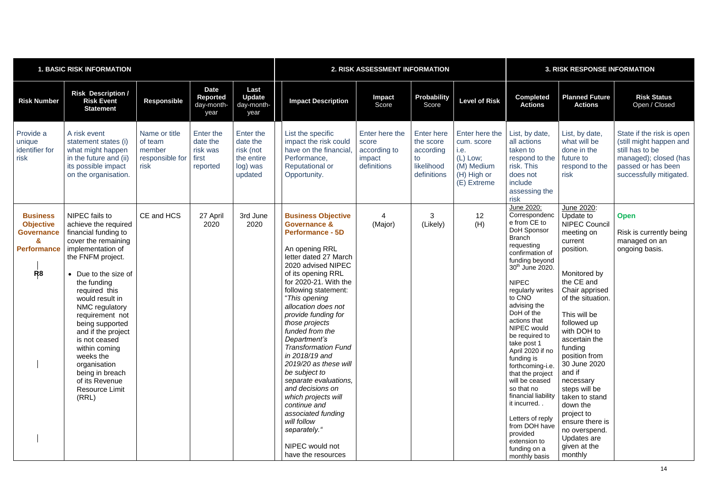| <b>1. BASIC RISK INFORMATION</b>                                                                                 |                                                                                                                                                                                                                                                                                                                                                                                                                              |                                                               |                                                        |                                                                         | 2. RISK ASSESSMENT INFORMATION                                                                                                                                                                                                                                                                                                                                                                                                                                                                                                                                                                    |                                                                  |                                                                                |                                                                                                | <b>3. RISK RESPONSE INFORMATION</b>                                                                                                                                                                                                                                                                                                                                                                                                                                                                                                        |                                                                                                                                                                                                                                                                                                                                                                                                                              |                                                                                                                                                   |
|------------------------------------------------------------------------------------------------------------------|------------------------------------------------------------------------------------------------------------------------------------------------------------------------------------------------------------------------------------------------------------------------------------------------------------------------------------------------------------------------------------------------------------------------------|---------------------------------------------------------------|--------------------------------------------------------|-------------------------------------------------------------------------|---------------------------------------------------------------------------------------------------------------------------------------------------------------------------------------------------------------------------------------------------------------------------------------------------------------------------------------------------------------------------------------------------------------------------------------------------------------------------------------------------------------------------------------------------------------------------------------------------|------------------------------------------------------------------|--------------------------------------------------------------------------------|------------------------------------------------------------------------------------------------|--------------------------------------------------------------------------------------------------------------------------------------------------------------------------------------------------------------------------------------------------------------------------------------------------------------------------------------------------------------------------------------------------------------------------------------------------------------------------------------------------------------------------------------------|------------------------------------------------------------------------------------------------------------------------------------------------------------------------------------------------------------------------------------------------------------------------------------------------------------------------------------------------------------------------------------------------------------------------------|---------------------------------------------------------------------------------------------------------------------------------------------------|
| <b>Risk Number</b>                                                                                               | <b>Risk Description /</b><br><b>Risk Event</b><br><b>Statement</b>                                                                                                                                                                                                                                                                                                                                                           | <b>Responsible</b>                                            | <b>Date</b><br><b>Reported</b><br>day-month-<br>year   | Last<br><b>Update</b><br>day-month-<br>year                             | <b>Impact Description</b>                                                                                                                                                                                                                                                                                                                                                                                                                                                                                                                                                                         | <b>Impact</b><br>Score                                           | <b>Probability</b><br>Score                                                    | <b>Level of Risk</b>                                                                           | <b>Completed</b><br><b>Actions</b>                                                                                                                                                                                                                                                                                                                                                                                                                                                                                                         | <b>Planned Future</b><br><b>Actions</b>                                                                                                                                                                                                                                                                                                                                                                                      | <b>Risk Status</b><br>Open / Closed                                                                                                               |
| Provide a<br>unique<br>identifier for<br>risk                                                                    | A risk event<br>statement states (i)<br>what might happen<br>in the future and (ii)<br>its possible impact<br>on the organisation.                                                                                                                                                                                                                                                                                           | Name or title<br>of team<br>member<br>responsible for<br>risk | Enter the<br>date the<br>risk was<br>first<br>reported | Enter the<br>date the<br>risk (not<br>the entire<br>log) was<br>updated | List the specific<br>impact the risk could<br>have on the financial<br>Performance,<br><b>Reputational or</b><br>Opportunity.                                                                                                                                                                                                                                                                                                                                                                                                                                                                     | Enter here the<br>score<br>according to<br>impact<br>definitions | <b>Enter here</b><br>the score<br>according<br>to<br>likelihood<br>definitions | Enter here the<br>cum. score<br>i.e.<br>$(L)$ Low;<br>(M) Medium<br>(H) High or<br>(E) Extreme | List, by date,<br>all actions<br>taken to<br>respond to the<br>risk. This<br>does not<br>include<br>assessing the<br>risk                                                                                                                                                                                                                                                                                                                                                                                                                  | List, by date,<br>what will be<br>done in the<br>future to<br>respond to the<br>risk                                                                                                                                                                                                                                                                                                                                         | State if the risk is open<br>(still might happen and<br>still has to be<br>managed); closed (has<br>passed or has been<br>successfully mitigated. |
| <b>Business</b><br><b>Objective</b><br><b>Governance</b><br>$\mathbf{a}$<br><b>Performance</b><br>R <sub>8</sub> | NIPEC fails to<br>achieve the required<br>financial funding to<br>cover the remaining<br>implementation of<br>the FNFM project.<br>Due to the size of<br>the funding<br>required this<br>would result in<br>NMC regulatory<br>requirement not<br>being supported<br>and if the project<br>is not ceased<br>within coming<br>weeks the<br>organisation<br>being in breach<br>of its Revenue<br><b>Resource Limit</b><br>(RRL) | CE and HCS                                                    | 27 April<br>2020                                       | 3rd June<br>2020                                                        | <b>Business Objective</b><br><b>Governance &amp;</b><br><b>Performance - 5D</b><br>An opening RRL<br>letter dated 27 March<br>2020 advised NIPEC<br>of its opening RRL<br>for 2020-21. With the<br>following statement:<br>"This opening<br>allocation does not<br>provide funding for<br>those projects<br>funded from the<br>Department's<br><b>Transformation Fund</b><br>in 2018/19 and<br>2019/20 as these will<br>be subject to<br>separate evaluations,<br>and decisions on<br>which projects will<br>continue and<br>associated funding<br>will follow<br>separately."<br>NIPEC would not | (Major)                                                          | 3<br>(Likely)                                                                  | 12<br>(H)                                                                                      | June 2020:<br>Correspondenc<br>e from CE to<br>DoH Sponsor<br><b>Branch</b><br>requesting<br>confirmation of<br>funding beyond<br>30 <sup>th</sup> June 2020.<br><b>NIPEC</b><br>regularly writes<br>to CNO<br>advising the<br>DoH of the<br>actions that<br>NIPEC would<br>be required to<br>take post 1<br>April 2020 if no<br>funding is<br>forthcoming-i.e.<br>that the project<br>will be ceased<br>so that no<br>financial liability<br>it incurred<br>Letters of reply<br>from DOH have<br>provided<br>extension to<br>funding on a | June 2020:<br>Update to<br><b>NIPEC Council</b><br>meeting on<br>current<br>position.<br>Monitored by<br>the CE and<br>Chair apprised<br>of the situation.<br>This will be<br>followed up<br>with DOH to<br>ascertain the<br>funding<br>position from<br>30 June 2020<br>and if<br>necessary<br>steps will be<br>taken to stand<br>down the<br>project to<br>ensure there is<br>no overspend.<br>Updates are<br>given at the | <b>Open</b><br>Risk is currently being<br>managed on an<br>ongoing basis.                                                                         |